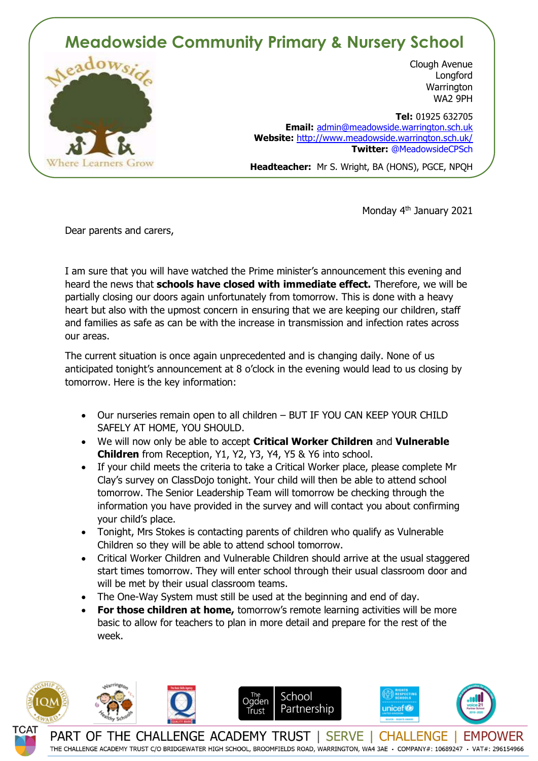## **Meadowside Community Primary & Nursery School**



Clough Avenue **Longford Warrington** WA2 9PH

 **Tel:** 01925 632705 **Email:** [admin@meadowside.warrington.sch.uk](mailto:admin@meadowside.warrington.sch.uk) **Website:** <http://www.meadowside.warrington.sch.uk/> **Twitter:** @MeadowsideCPSch

**Headteacher:** Mr S. Wright, BA (HONS), PGCE, NPQH

Monday 4<sup>th</sup> January 2021

Dear parents and carers,

I am sure that you will have watched the Prime minister's announcement this evening and heard the news that **schools have closed with immediate effect.** Therefore, we will be partially closing our doors again unfortunately from tomorrow. This is done with a heavy heart but also with the upmost concern in ensuring that we are keeping our children, staff and families as safe as can be with the increase in transmission and infection rates across our areas.

The current situation is once again unprecedented and is changing daily. None of us anticipated tonight's announcement at 8 o'clock in the evening would lead to us closing by tomorrow. Here is the key information:

- Our nurseries remain open to all children BUT IF YOU CAN KEEP YOUR CHILD SAFELY AT HOME, YOU SHOULD.
- We will now only be able to accept **Critical Worker Children** and **Vulnerable Children** from Reception, Y1, Y2, Y3, Y4, Y5 & Y6 into school.
- If your child meets the criteria to take a Critical Worker place, please complete Mr Clay's survey on ClassDojo tonight. Your child will then be able to attend school tomorrow. The Senior Leadership Team will tomorrow be checking through the information you have provided in the survey and will contact you about confirming your child's place.
- Tonight, Mrs Stokes is contacting parents of children who qualify as Vulnerable Children so they will be able to attend school tomorrow.
- Critical Worker Children and Vulnerable Children should arrive at the usual staggered start times tomorrow. They will enter school through their usual classroom door and will be met by their usual classroom teams.
- The One-Way System must still be used at the beginning and end of day.
- **For those children at home,** tomorrow's remote learning activities will be more basic to allow for teachers to plan in more detail and prepare for the rest of the week.



THE CHALLENGE ACADEMY TRUST C/O BRIDGEWATER HIGH SCHOOL, BROOMFIELDS ROAD, WARRINGTON, WA4 3AE · COMPANY#: 10689247 · VAT#: 296154966